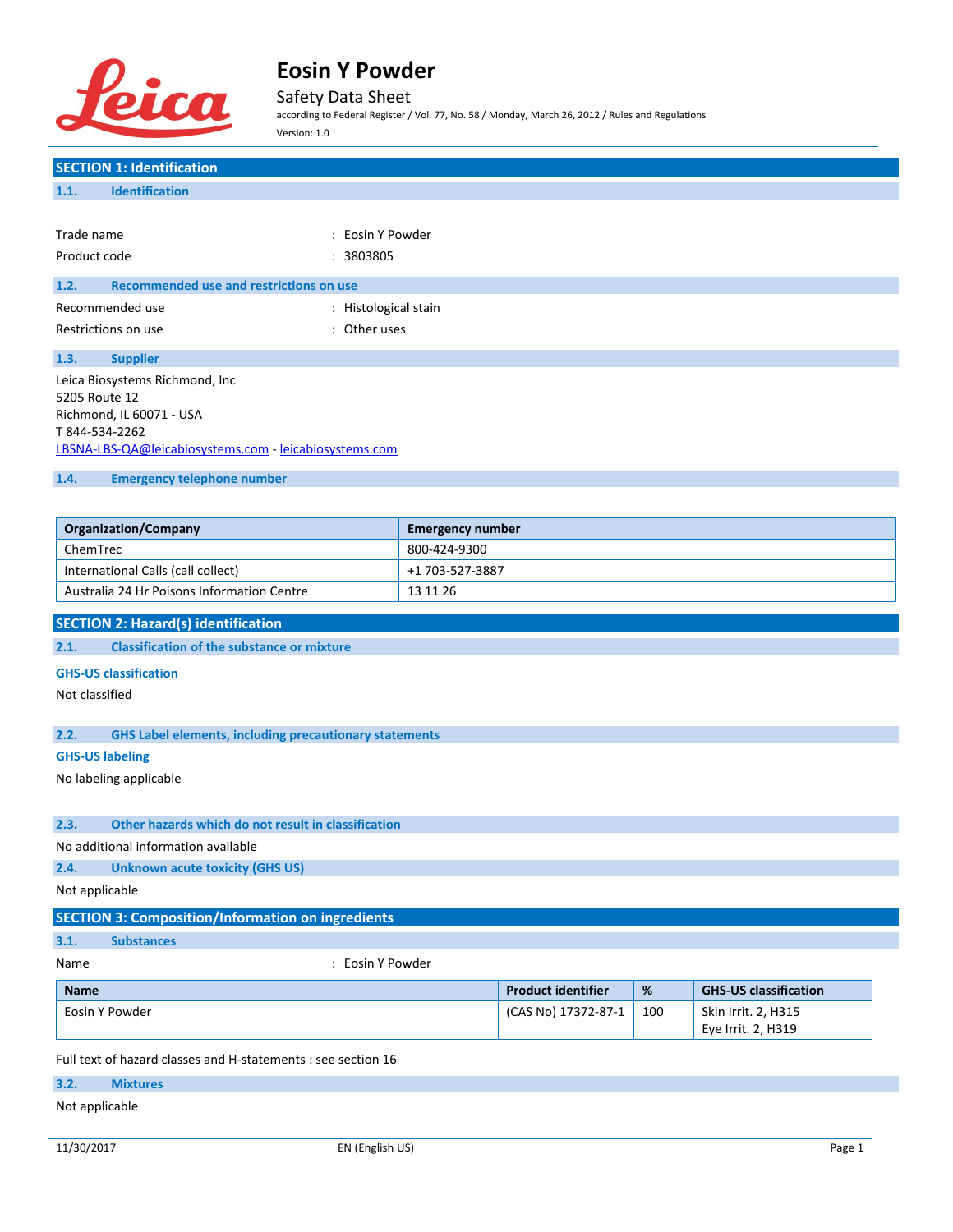

Safety Data Sheet

according to Federal Register / Vol. 77, No. 58 / Monday, March 26, 2012 / Rules and Regulations Version: 1.0

| <b>SECTION 1: Identification</b>                                      |                           |     |                              |
|-----------------------------------------------------------------------|---------------------------|-----|------------------------------|
| <b>Identification</b><br>1.1.                                         |                           |     |                              |
|                                                                       |                           |     |                              |
| Trade name<br>: Eosin Y Powder                                        |                           |     |                              |
| Product code<br>: 3803805                                             |                           |     |                              |
| <b>Recommended use and restrictions on use</b><br>1.2.                |                           |     |                              |
| Recommended use<br>: Histological stain                               |                           |     |                              |
| : Other uses                                                          |                           |     |                              |
| Restrictions on use                                                   |                           |     |                              |
| 1.3.<br><b>Supplier</b>                                               |                           |     |                              |
| Leica Biosystems Richmond, Inc                                        |                           |     |                              |
| 5205 Route 12                                                         |                           |     |                              |
| Richmond, IL 60071 - USA<br>T 844-534-2262                            |                           |     |                              |
| LBSNA-LBS-QA@leicabiosystems.com - leicabiosystems.com                |                           |     |                              |
| 1.4.                                                                  |                           |     |                              |
| <b>Emergency telephone number</b>                                     |                           |     |                              |
|                                                                       |                           |     |                              |
| <b>Organization/Company</b>                                           | <b>Emergency number</b>   |     |                              |
| ChemTrec                                                              | 800-424-9300              |     |                              |
| International Calls (call collect)                                    | +1 703-527-3887           |     |                              |
| Australia 24 Hr Poisons Information Centre                            | 13 11 26                  |     |                              |
| <b>SECTION 2: Hazard(s) identification</b>                            |                           |     |                              |
| <b>Classification of the substance or mixture</b><br>2.1.             |                           |     |                              |
| <b>GHS-US classification</b>                                          |                           |     |                              |
| Not classified                                                        |                           |     |                              |
|                                                                       |                           |     |                              |
| 2.2.<br><b>GHS Label elements, including precautionary statements</b> |                           |     |                              |
| <b>GHS-US labeling</b>                                                |                           |     |                              |
| No labeling applicable                                                |                           |     |                              |
|                                                                       |                           |     |                              |
| Other hazards which do not result in classification<br>2.3.           |                           |     |                              |
| No additional information available                                   |                           |     |                              |
| 2.4.<br><b>Unknown acute toxicity (GHS US)</b>                        |                           |     |                              |
| Not applicable                                                        |                           |     |                              |
|                                                                       |                           |     |                              |
| <b>SECTION 3: Composition/Information on ingredients</b>              |                           |     |                              |
| 3.1.<br><b>Substances</b>                                             |                           |     |                              |
| : Eosin Y Powder<br>Name                                              |                           |     |                              |
| <b>Name</b>                                                           | <b>Product identifier</b> | %   | <b>GHS-US classification</b> |
| Eosin Y Powder                                                        | (CAS No) 17372-87-1       | 100 | Skin Irrit. 2, H315          |
|                                                                       |                           |     | Eye Irrit. 2, H319           |
| Full text of hazard classes and H-statements : see section 16         |                           |     |                              |

# **3.2. Mixtures**

## Not applicable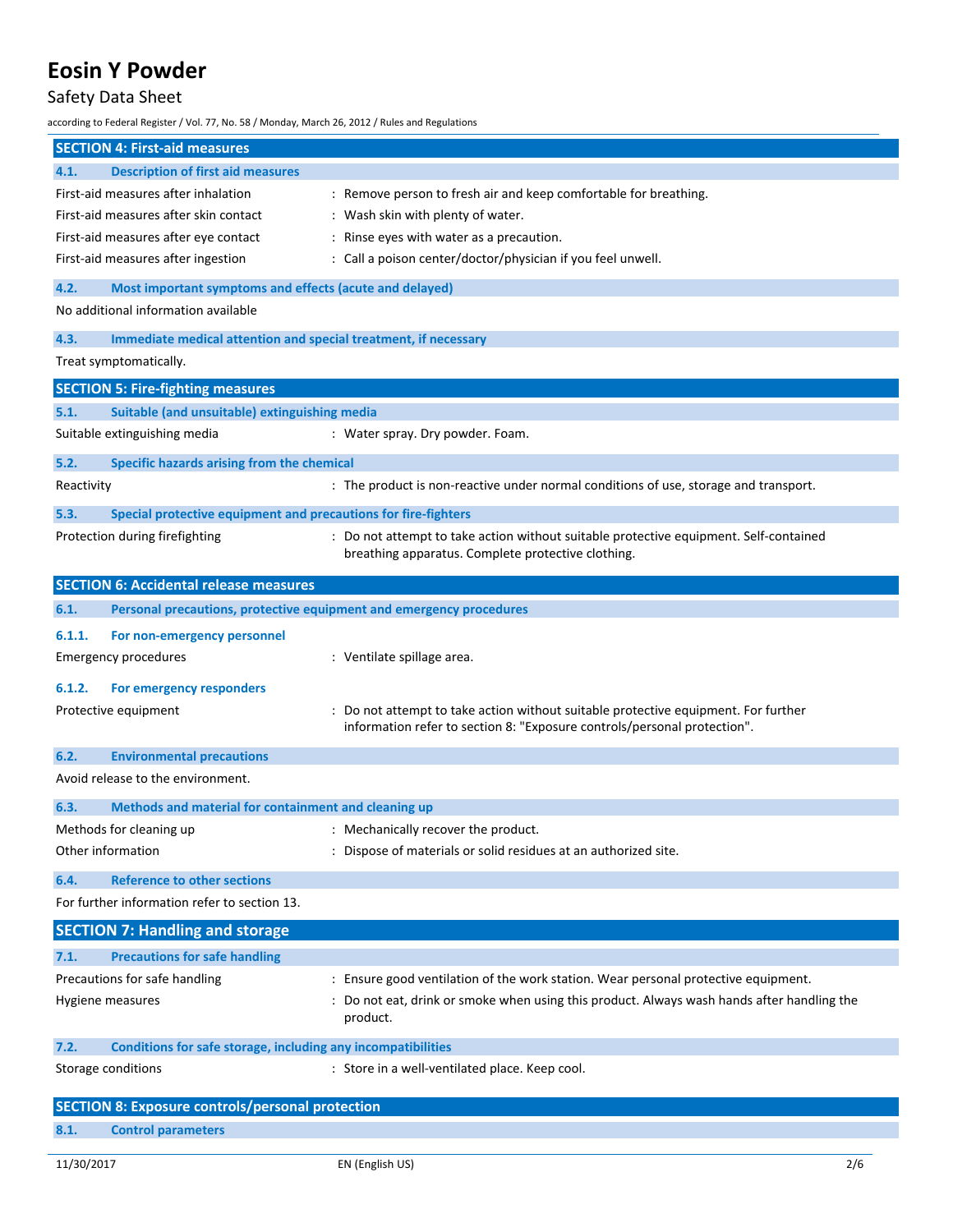# Safety Data Sheet

according to Federal Register / Vol. 77, No. 58 / Monday, March 26, 2012 / Rules and Regulations

|            | <b>SECTION 4: First-aid measures</b>                                |                                                                                                                                                                |
|------------|---------------------------------------------------------------------|----------------------------------------------------------------------------------------------------------------------------------------------------------------|
| 4.1.       | <b>Description of first aid measures</b>                            |                                                                                                                                                                |
|            | First-aid measures after inhalation                                 | : Remove person to fresh air and keep comfortable for breathing.                                                                                               |
|            | First-aid measures after skin contact                               | : Wash skin with plenty of water.                                                                                                                              |
|            | First-aid measures after eye contact                                | : Rinse eyes with water as a precaution.                                                                                                                       |
|            | First-aid measures after ingestion                                  | : Call a poison center/doctor/physician if you feel unwell.                                                                                                    |
| 4.2.       | Most important symptoms and effects (acute and delayed)             |                                                                                                                                                                |
|            | No additional information available                                 |                                                                                                                                                                |
| 4.3.       | Immediate medical attention and special treatment, if necessary     |                                                                                                                                                                |
|            | Treat symptomatically.                                              |                                                                                                                                                                |
|            | <b>SECTION 5: Fire-fighting measures</b>                            |                                                                                                                                                                |
| 5.1.       | Suitable (and unsuitable) extinguishing media                       |                                                                                                                                                                |
|            | Suitable extinguishing media                                        | : Water spray. Dry powder. Foam.                                                                                                                               |
| 5.2.       | Specific hazards arising from the chemical                          |                                                                                                                                                                |
| Reactivity |                                                                     | : The product is non-reactive under normal conditions of use, storage and transport.                                                                           |
| 5.3.       | Special protective equipment and precautions for fire-fighters      |                                                                                                                                                                |
|            | Protection during firefighting                                      | : Do not attempt to take action without suitable protective equipment. Self-contained<br>breathing apparatus. Complete protective clothing.                    |
|            | <b>SECTION 6: Accidental release measures</b>                       |                                                                                                                                                                |
| 6.1.       | Personal precautions, protective equipment and emergency procedures |                                                                                                                                                                |
| 6.1.1.     | For non-emergency personnel                                         |                                                                                                                                                                |
|            | <b>Emergency procedures</b>                                         | : Ventilate spillage area.                                                                                                                                     |
| 6.1.2.     | For emergency responders                                            |                                                                                                                                                                |
|            | Protective equipment                                                | : Do not attempt to take action without suitable protective equipment. For further<br>information refer to section 8: "Exposure controls/personal protection". |
| 6.2.       | <b>Environmental precautions</b>                                    |                                                                                                                                                                |
|            | Avoid release to the environment.                                   |                                                                                                                                                                |
| 6.3.       | Methods and material for containment and cleaning up                |                                                                                                                                                                |
|            | Methods for cleaning up                                             | : Mechanically recover the product.                                                                                                                            |
|            | Other information                                                   | : Dispose of materials or solid residues at an authorized site.                                                                                                |
| 6.4.       | <b>Reference to other sections</b>                                  |                                                                                                                                                                |
|            | For further information refer to section 13.                        |                                                                                                                                                                |
|            | <b>SECTION 7: Handling and storage</b>                              |                                                                                                                                                                |
| 7.1.       | <b>Precautions for safe handling</b>                                |                                                                                                                                                                |
|            | Precautions for safe handling                                       | : Ensure good ventilation of the work station. Wear personal protective equipment.                                                                             |
|            | Hygiene measures                                                    | : Do not eat, drink or smoke when using this product. Always wash hands after handling the<br>product.                                                         |
| 7.2.       | Conditions for safe storage, including any incompatibilities        |                                                                                                                                                                |
|            | Storage conditions                                                  | : Store in a well-ventilated place. Keep cool.                                                                                                                 |
|            | <b>SECTION 8: Exposure controls/personal protection</b>             |                                                                                                                                                                |

| 8.1. |  | <b>Control parameters</b> |
|------|--|---------------------------|
|------|--|---------------------------|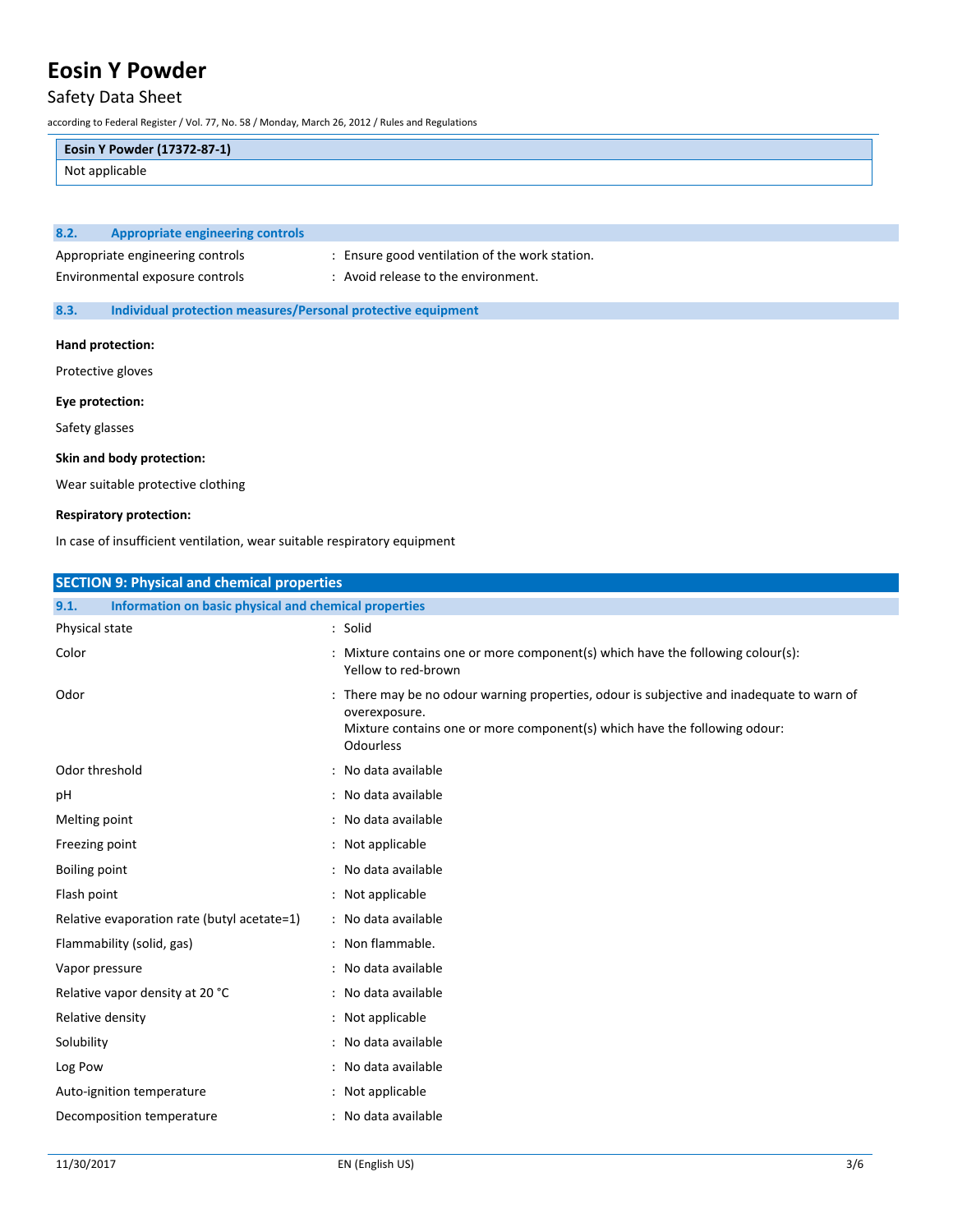# Safety Data Sheet

according to Federal Register / Vol. 77, No. 58 / Monday, March 26, 2012 / Rules and Regulations

## **Eosin Y Powder (17372-87-1)**

Not applicable

## **8.2. Appropriate engineering controls**

Appropriate engineering controls : Ensure good ventilation of the work station.

Environmental exposure controls : Avoid release to the environment.

### **8.3. Individual protection measures/Personal protective equipment**

#### **Hand protection:**

Protective gloves

### **Eye protection:**

Safety glasses

### **Skin and body protection:**

Wear suitable protective clothing

### **Respiratory protection:**

In case of insufficient ventilation, wear suitable respiratory equipment

| <b>SECTION 9: Physical and chemical properties</b>            |                                                                                                                                                                                                             |
|---------------------------------------------------------------|-------------------------------------------------------------------------------------------------------------------------------------------------------------------------------------------------------------|
| Information on basic physical and chemical properties<br>9.1. |                                                                                                                                                                                                             |
| Physical state                                                | : Solid                                                                                                                                                                                                     |
| Color                                                         | : Mixture contains one or more component(s) which have the following colour(s):<br>Yellow to red-brown                                                                                                      |
| Odor                                                          | : There may be no odour warning properties, odour is subjective and inadequate to warn of<br>overexposure.<br>Mixture contains one or more component(s) which have the following odour:<br><b>Odourless</b> |
| Odor threshold                                                | : No data available                                                                                                                                                                                         |
| рH                                                            | : No data available                                                                                                                                                                                         |
| Melting point                                                 | : No data available                                                                                                                                                                                         |
| Freezing point                                                | : Not applicable                                                                                                                                                                                            |
| <b>Boiling point</b>                                          | : No data available                                                                                                                                                                                         |
| Flash point                                                   | : Not applicable                                                                                                                                                                                            |
| Relative evaporation rate (butyl acetate=1)                   | : No data available                                                                                                                                                                                         |
| Flammability (solid, gas)                                     | : Non flammable.                                                                                                                                                                                            |
| Vapor pressure                                                | : No data available                                                                                                                                                                                         |
| Relative vapor density at 20 °C                               | : No data available                                                                                                                                                                                         |
| Relative density                                              | : Not applicable                                                                                                                                                                                            |
| Solubility                                                    | : No data available                                                                                                                                                                                         |
| Log Pow                                                       | : No data available                                                                                                                                                                                         |
| Auto-ignition temperature                                     | : Not applicable                                                                                                                                                                                            |
| Decomposition temperature                                     | : No data available                                                                                                                                                                                         |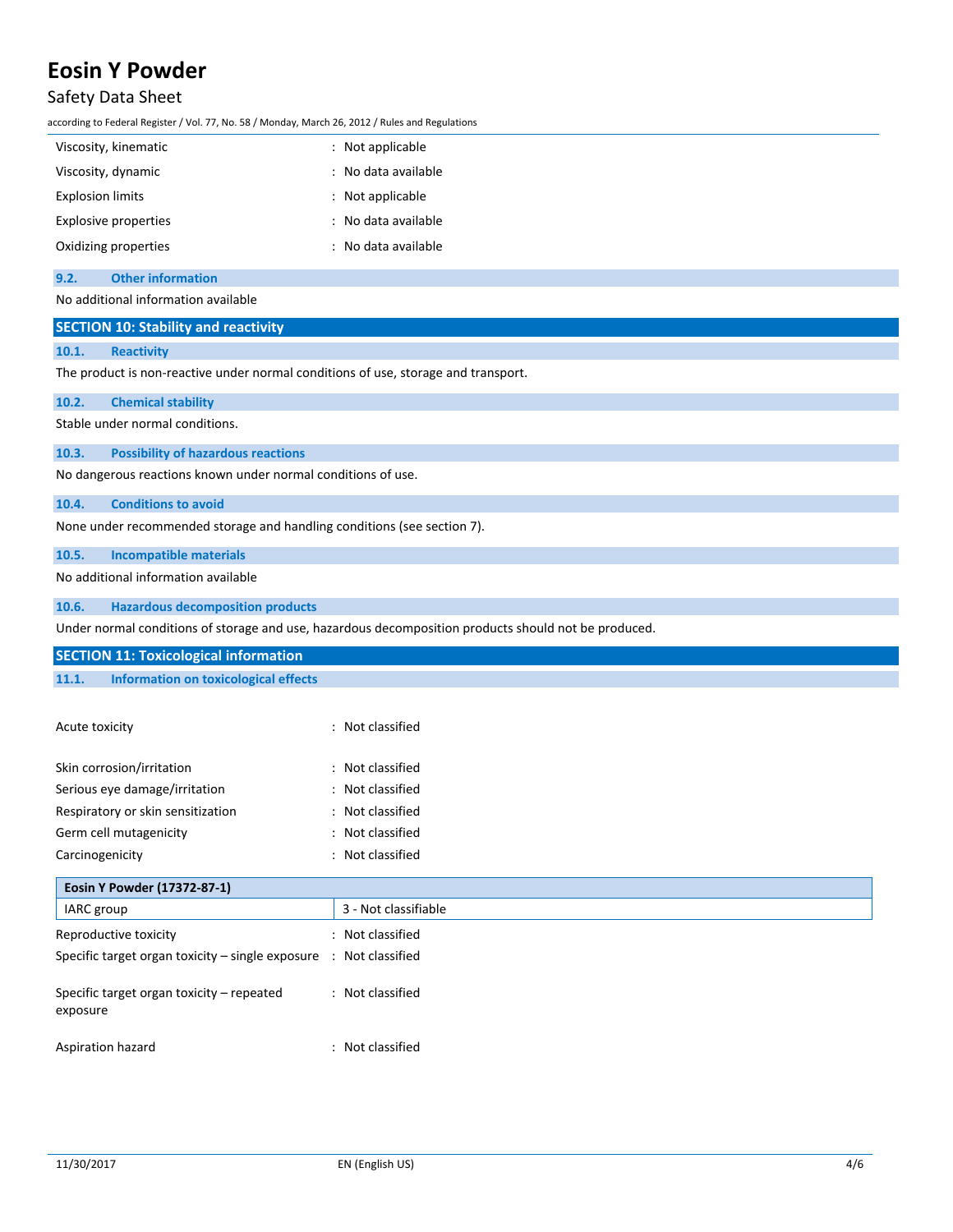## Safety Data Sheet

according to Federal Register / Vol. 77, No. 58 / Monday, March 26, 2012 / Rules and Regulations

| $:$ Not applicable  |
|---------------------|
| : No data available |
| $:$ Not applicable  |
| : No data available |
| : No data available |
|                     |

### **9.2. Other information**

No additional information available

## **SECTION 10: Stability and reactivity**

### **10.1. Reactivity**

The product is non-reactive under normal conditions of use, storage and transport.

### **10.2. Chemical stability**

Stable under normal conditions.

## **10.3. Possibility of hazardous reactions**

No dangerous reactions known under normal conditions of use.

### **10.4. Conditions to avoid**

None under recommended storage and handling conditions (see section 7).

### **10.5. Incompatible materials**

No additional information available

### **10.6. Hazardous decomposition products**

Under normal conditions of storage and use, hazardous decomposition products should not be produced.

|       | <b>SECTION 11: Toxicological information</b> |  |  |
|-------|----------------------------------------------|--|--|
| 11.1. | Information on toxicological effects         |  |  |

| Acute toxicity                    | : Not classified                            |
|-----------------------------------|---------------------------------------------|
| Skin corrosion/irritation         | : Not classified                            |
| Serious eye damage/irritation     | Not classified<br>$\mathbb{R}^{\mathbb{Z}}$ |
| Respiratory or skin sensitization | : Not classified                            |
| Germ cell mutagenicity            | Not classified<br>÷                         |
| Carcinogenicity                   | : Not classified                            |

| Eosin Y Powder (17372-87-1)                                                  |                      |
|------------------------------------------------------------------------------|----------------------|
| IARC group                                                                   | 3 - Not classifiable |
| Reproductive toxicity                                                        | : Not classified     |
| Specific target organ toxicity – single exposure $\therefore$ Not classified |                      |
| Specific target organ toxicity – repeated<br>exposure                        | : Not classified     |
| Aspiration hazard                                                            | : Not classified     |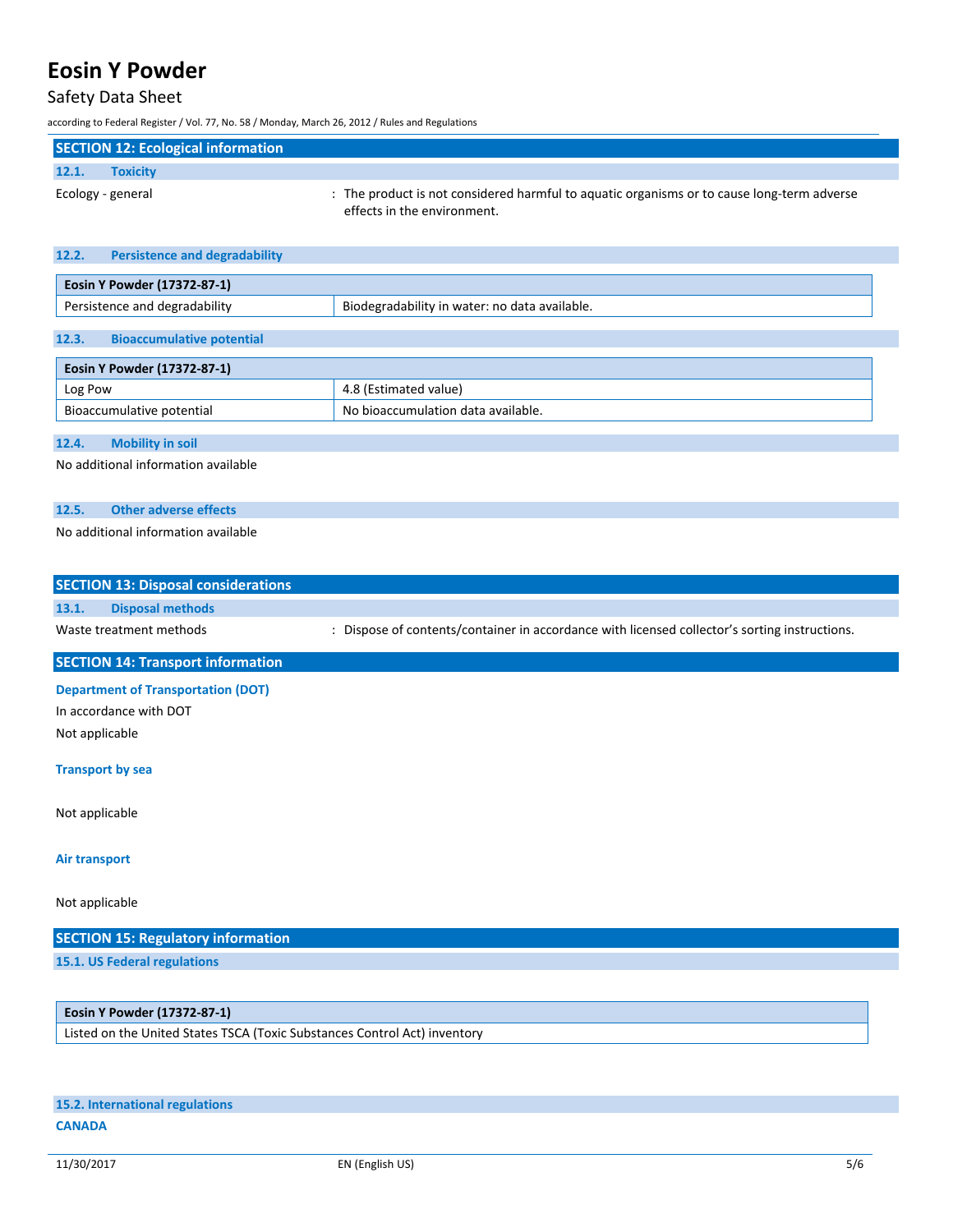## Safety Data Sheet

according to Federal Register / Vol. 77, No. 58 / Monday, March 26, 2012 / Rules and Regulations

| <b>SECTION 12: Ecological information</b> |                                                                                                                           |
|-------------------------------------------|---------------------------------------------------------------------------------------------------------------------------|
| 12.1.<br><b>Toxicity</b>                  |                                                                                                                           |
| Ecology - general                         | : The product is not considered harmful to aguatic organisms or to cause long-term adverse<br>effects in the environment. |

| 12.2. | <b>Persistence and degradability</b> |                                               |  |
|-------|--------------------------------------|-----------------------------------------------|--|
|       | Eosin Y Powder (17372-87-1)          |                                               |  |
|       | Persistence and degradability        | Biodegradability in water: no data available. |  |
| 12.3. | <b>Bioaccumulative potential</b>     |                                               |  |
|       | Eosin Y Powder (17372-87-1)          |                                               |  |

| Log Pow                      | value                                          |
|------------------------------|------------------------------------------------|
| potential<br>Bıc<br>mulative | No<br>ı available.<br>nulation<br>data<br>החומ |
|                              |                                                |

### **12.4. Mobility in soil**

No additional information available

## **12.5. Other adverse effects**

## No additional information available

|       | <b>SECTION 13: Disposal considerations</b> |                                                                                             |
|-------|--------------------------------------------|---------------------------------------------------------------------------------------------|
| 13.1. | Disposal methods                           |                                                                                             |
|       | Waste treatment methods                    | Dispose of contents/container in accordance with licensed collector's sorting instructions. |

## **SECTION 14: Transport information**

**Department of Transportation (DOT)**

In accordance with DOT Not applicable

## **Transport by sea**

Not applicable

#### **Air transport**

Not applicable

| <b>SECTION 15: Regulatory information</b> |  |
|-------------------------------------------|--|
| 15.1. US Federal regulations              |  |
|                                           |  |

## **Eosin Y Powder (17372-87-1)**

Listed on the United States TSCA (Toxic Substances Control Act) inventory

# **15.2. International regulations**

#### **CANADA**